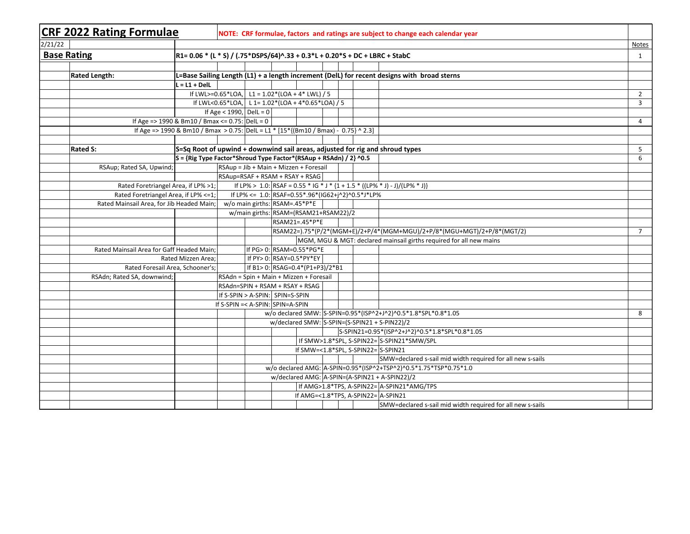|                    | <b>CRF 2022 Rating Formulae</b>                                                      |                                 |                               |                          |                                                   |   |  | NOTE: CRF formulae, factors and ratings are subject to change each calendar year            |                |
|--------------------|--------------------------------------------------------------------------------------|---------------------------------|-------------------------------|--------------------------|---------------------------------------------------|---|--|---------------------------------------------------------------------------------------------|----------------|
| 2/21/22            |                                                                                      |                                 |                               |                          |                                                   |   |  |                                                                                             | <b>Notes</b>   |
| <b>Base Rating</b> | R1= 0.06 * (L * S) / (.75*DSPS/64)^.33 + 0.3*L + 0.20*S + DC + LBRC + StabC          |                                 |                               |                          |                                                   |   |  |                                                                                             | $\mathbf{1}$   |
|                    |                                                                                      |                                 |                               |                          |                                                   |   |  |                                                                                             |                |
|                    | <b>Rated Length:</b>                                                                 |                                 |                               |                          |                                                   |   |  | L=Base Sailing Length (L1) + a length increment (DelL) for recent designs with broad sterns |                |
|                    | $L = L1 + Dell$                                                                      |                                 |                               |                          |                                                   |   |  |                                                                                             |                |
|                    |                                                                                      |                                 |                               |                          | If LWL>=0.65*LOA, L1 = $1.02*(LOA + 4*LWL)/5$     |   |  |                                                                                             | $\overline{2}$ |
|                    |                                                                                      |                                 |                               |                          | If LWL<0.65*LOA, L 1= $1.02*(LOA + 4*0.65*LOA)/5$ |   |  |                                                                                             | 3              |
|                    |                                                                                      | If Age < 1990, $DelL = 0$       |                               |                          |                                                   |   |  |                                                                                             |                |
|                    | If Age = > 1990 & Bm10 / Bmax <= 0.75: DelL = 0                                      |                                 |                               |                          |                                                   |   |  |                                                                                             | $\overline{4}$ |
|                    | If Age => 1990 & Bm10 / Bmax > 0.75: DelL = L1 * [15*{(Bm10 / Bmax) - 0.75} ^ 2.3]   |                                 |                               |                          |                                                   |   |  |                                                                                             |                |
|                    |                                                                                      |                                 |                               |                          |                                                   |   |  |                                                                                             |                |
|                    | <b>Rated S:</b>                                                                      |                                 |                               |                          |                                                   |   |  | S=Sq Root of upwind + downwind sail areas, adjusted for rig and shroud types                | 5              |
|                    | S = {Rig Type Factor*Shroud Type Factor*(RSAup + RSAdn) / 2} ^0.5                    |                                 |                               |                          |                                                   |   |  |                                                                                             | 6              |
|                    | RSAup; Rated SA, Upwind;                                                             |                                 |                               |                          | RSAup = Jib + Main + Mizzen + Foresail            |   |  |                                                                                             |                |
|                    |                                                                                      | RSAup=RSAF + RSAM + RSAY + RSAG |                               |                          |                                                   |   |  |                                                                                             |                |
|                    | Rated Foretriangel Area, if LP% >1;                                                  |                                 |                               |                          |                                                   |   |  | If LP% > 1.0: RSAF = 0.55 * IG * J * {1 + 1.5 * ((LP% * J) - J)/(LP% * J)}                  |                |
|                    | Rated Foretriangel Area, if LP% <= 1;                                                |                                 |                               |                          | If LP% <= 1.0: RSAF=0.55*.96*(IG62+j^2)^0.5*J*LP% |   |  |                                                                                             |                |
|                    | Rated Mainsail Area, for Jib Headed Main:                                            |                                 | w/o main girths: RSAM=.45*P*E |                          |                                                   |   |  |                                                                                             |                |
|                    |                                                                                      |                                 |                               |                          | w/main girths: RSAM=(RSAM21+RSAM22)/2             |   |  |                                                                                             |                |
|                    |                                                                                      |                                 |                               |                          | RSAM21=.45*P*E                                    |   |  | RSAM22=).75*(P/2*(MGM+E)/2+P/4*(MGM+MGU)/2+P/8*(MGU+MGT)/2+P/8*(MGT/2)                      | $\overline{7}$ |
|                    |                                                                                      |                                 |                               |                          |                                                   |   |  | MGM, MGU & MGT: declared mainsail girths required for all new mains                         |                |
|                    | Rated Mainsail Area for Gaff Headed Main;                                            |                                 |                               |                          | If PG> 0: RSAM=0.55*PG*E                          |   |  |                                                                                             |                |
|                    | Rated Mizzen Area;                                                                   |                                 |                               | If PY> 0: RSAY=0.5*PY*EY |                                                   |   |  |                                                                                             |                |
|                    | Rated Foresail Area, Schooner's;                                                     |                                 |                               |                          | If B1> 0: RSAG=0.4*(P1+P3)/2*B1                   |   |  |                                                                                             |                |
|                    | RSAdn; Rated SA, downwind;                                                           |                                 |                               |                          | RSAdn = Spin + Main + Mizzen + Foresail           |   |  |                                                                                             |                |
|                    |                                                                                      | RSAdn=SPIN + RSAM + RSAY + RSAG |                               |                          |                                                   |   |  |                                                                                             |                |
|                    | If S-SPIN > A-SPIN: SPIN=S-SPIN                                                      |                                 |                               |                          |                                                   |   |  |                                                                                             |                |
|                    | If S-SPIN =< A-SPIN: SPIN=A-SPIN                                                     |                                 |                               |                          |                                                   |   |  |                                                                                             |                |
|                    | w/o declared SMW: S-SPIN=0.95*(ISP^2+J^2)^0.5*1.8*SPL*0.8*1.05                       |                                 |                               |                          |                                                   | 8 |  |                                                                                             |                |
|                    |                                                                                      |                                 |                               |                          | w/declared SMW: S-SPIN=(S-SPIN21 + S-PIN22)/2     |   |  |                                                                                             |                |
|                    |                                                                                      |                                 |                               |                          |                                                   |   |  | S-SPIN21=0.95*(ISP^2+J^2)^0.5*1.8*SPL*0.8*1.05                                              |                |
|                    |                                                                                      |                                 |                               |                          |                                                   |   |  | If SMW>1.8*SPL, S-SPIN22=S-SPIN21*SMW/SPL                                                   |                |
|                    |                                                                                      |                                 |                               |                          | If SMW=<1.8*SPL, S-SPIN22= $S-$ S-SPIN21          |   |  |                                                                                             |                |
|                    |                                                                                      |                                 |                               |                          |                                                   |   |  | SMW=declared s-sail mid width required for all new s-sails                                  |                |
|                    | w/o declared AMG: A-SPIN=0.95*(ISP^2+TSP^2)^0.5*1.75*TSP*0.75*1.0                    |                                 |                               |                          |                                                   |   |  |                                                                                             |                |
|                    | w/declared AMG: A-SPIN=(A-SPIN21 + A-SPIN22)/2                                       |                                 |                               |                          |                                                   |   |  |                                                                                             |                |
|                    | If AMG>1.8*TPS, A-SPIN22= A-SPIN21*AMG/TPS<br>If AMG=<1.8*TPS, A-SPIN22= $ A-SPIN21$ |                                 |                               |                          |                                                   |   |  |                                                                                             |                |
|                    |                                                                                      |                                 |                               |                          |                                                   |   |  |                                                                                             |                |
|                    |                                                                                      |                                 |                               |                          |                                                   |   |  | SMW=declared s-sail mid width required for all new s-sails                                  |                |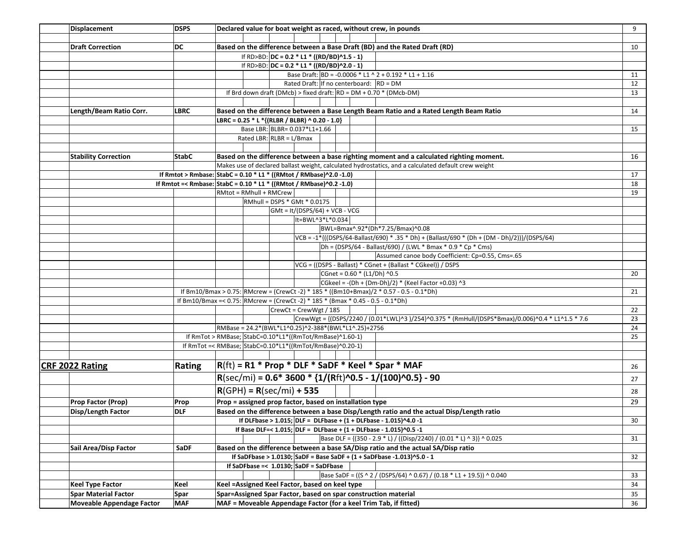| Displacement                                                                            | <b>DSPS</b>                                                                       | Declared value for boat weight as raced, without crew, in pounds                                    | 9  |  |  |  |  |  |
|-----------------------------------------------------------------------------------------|-----------------------------------------------------------------------------------|-----------------------------------------------------------------------------------------------------|----|--|--|--|--|--|
|                                                                                         |                                                                                   |                                                                                                     |    |  |  |  |  |  |
| <b>Draft Correction</b>                                                                 | DC                                                                                | Based on the difference between a Base Draft (BD) and the Rated Draft (RD)                          | 10 |  |  |  |  |  |
|                                                                                         |                                                                                   | If RD>BD: $DC = 0.2 * L1 * ((RD/BD)^1.5 - 1)$                                                       |    |  |  |  |  |  |
|                                                                                         |                                                                                   | If RD>BD: DC = 0.2 * L1 * ((RD/BD)^2.0 - 1)                                                         |    |  |  |  |  |  |
|                                                                                         |                                                                                   | Base Draft: BD = -0.0006 * L1 ^ 2 + 0.192 * L1 + 1.16                                               | 11 |  |  |  |  |  |
|                                                                                         |                                                                                   | Rated Draft: If no centerboard: $ RD = DM$                                                          | 12 |  |  |  |  |  |
|                                                                                         |                                                                                   | If Brd down draft (DMcb) > fixed draft: $RD = DM + 0.70 * (DMcb-DM)$                                | 13 |  |  |  |  |  |
|                                                                                         |                                                                                   |                                                                                                     |    |  |  |  |  |  |
| Length/Beam Ratio Corr.                                                                 | LBRC                                                                              | Based on the difference between a Base Length Beam Ratio and a Rated Length Beam Ratio              | 14 |  |  |  |  |  |
|                                                                                         |                                                                                   | LBRC = 0.25 * L *{(RLBR / BLBR) ^ 0.20 - 1.0}                                                       |    |  |  |  |  |  |
|                                                                                         |                                                                                   | Base LBR: BLBR= 0.037*L1+1.66                                                                       | 15 |  |  |  |  |  |
|                                                                                         |                                                                                   | Rated LBR: RLBR = $L/Bmax$                                                                          |    |  |  |  |  |  |
|                                                                                         |                                                                                   |                                                                                                     |    |  |  |  |  |  |
| <b>Stability Correction</b>                                                             | <b>StabC</b>                                                                      | Based on the difference between a base righting moment and a calculated righting moment.            | 16 |  |  |  |  |  |
|                                                                                         |                                                                                   | Makes use of declared ballast weight, calculated hydrostatics, and a calculated default crew weight |    |  |  |  |  |  |
|                                                                                         |                                                                                   | If Rmtot > Rmbase: StabC = 0.10 * L1 * ((RMtot / RMbase)^2.0 -1.0)                                  | 17 |  |  |  |  |  |
|                                                                                         |                                                                                   | If Rmtot =< Rmbase: StabC = $0.10 * L1 * ((RMtot / RMbase) 0.2 - 1.0)$                              | 18 |  |  |  |  |  |
|                                                                                         |                                                                                   | RMtot = RMhull + RMCrew                                                                             | 19 |  |  |  |  |  |
|                                                                                         |                                                                                   | RMhull = DSPS * GMt * 0.0175                                                                        |    |  |  |  |  |  |
|                                                                                         |                                                                                   | $GMt = It/(DSPS/64) + VCB - VCG$<br>It=BWL^3*L*0.034                                                |    |  |  |  |  |  |
|                                                                                         |                                                                                   | BWL=Bmax^.92*(Dh*7.25/Bmax)^0.08                                                                    |    |  |  |  |  |  |
|                                                                                         |                                                                                   | VCB = -1*{((DSPS/64-Ballast/690) * .35 * Dh) + (Ballast/690 * (Dh + (DM - Dh)/2))}/(DSPS/64)        |    |  |  |  |  |  |
|                                                                                         |                                                                                   | $Dh = (DSPS/64 - Ballast/690) / (LWL * Bmax * 0.9 * Cp * Cms)$                                      |    |  |  |  |  |  |
|                                                                                         |                                                                                   | Assumed canoe body Coefficient: Cp=0.55, Cms=.65                                                    |    |  |  |  |  |  |
|                                                                                         |                                                                                   | VCG = ((DSPS - Ballast) * CGnet + (Ballast * CGkeel)) / DSPS                                        |    |  |  |  |  |  |
|                                                                                         |                                                                                   | CGnet = 0.60 * (L1/Dh) ^0.5                                                                         | 20 |  |  |  |  |  |
|                                                                                         |                                                                                   | CGkeel = -(Dh + (Dm-Dh)/2) * (Keel Factor +0.03) ^3                                                 |    |  |  |  |  |  |
| If Bm10/Bmax > 0.75: RMcrew = (CrewCt -2) * 185 * ((Bm10+Bmax)/2 * 0.57 - 0.5 - 0.1*Dh) |                                                                                   |                                                                                                     |    |  |  |  |  |  |
|                                                                                         | If Bm10/Bmax =< 0.75: RMcrew = (CrewCt -2) * 185 * (Bmax * 0.45 - 0.5 - 0.1 * Dh) |                                                                                                     |    |  |  |  |  |  |
|                                                                                         |                                                                                   | CrewCt = CrewWgt / 185                                                                              | 22 |  |  |  |  |  |
|                                                                                         |                                                                                   | CrewWgt = {(DSPS/2240 / (0.01*LWL)^3 )/254}^0.375 * (RmHull/(DSPS*Bmax)/0.006)^0.4 * L1^1.5 * 7.6   | 23 |  |  |  |  |  |
|                                                                                         |                                                                                   | RMBase = 24.2*(BWL*L1^0.25)^2-388*(BWL*L1^.25)+2756                                                 | 24 |  |  |  |  |  |
|                                                                                         |                                                                                   | If RmTot > RMBase; StabC=0.10*L1*((RmTot/RmBase)^1.60-1)                                            | 25 |  |  |  |  |  |
|                                                                                         |                                                                                   | If RmTot =< RMBase; StabC=0.10*L1*((RmTot/RmBase)^0.20-1)                                           |    |  |  |  |  |  |
|                                                                                         |                                                                                   |                                                                                                     |    |  |  |  |  |  |
| <b>CRF 2022 Rating</b>                                                                  | Rating                                                                            | $R$ (ft) = R1 * Prop * DLF * SaDF * Keel * Spar * MAF                                               | 26 |  |  |  |  |  |
|                                                                                         |                                                                                   | $R(\text{sec/min}) = 0.6*3600*{1/(Rft)}^0.5-1/(100)^0.5-90$                                         |    |  |  |  |  |  |
|                                                                                         |                                                                                   |                                                                                                     | 27 |  |  |  |  |  |
|                                                                                         |                                                                                   | $R(GPH) = R(sec/min) + 535$                                                                         | 28 |  |  |  |  |  |
| <b>Prop Factor (Prop)</b>                                                               | Prop                                                                              | Prop = assigned prop factor, based on installation type                                             | 29 |  |  |  |  |  |
| Disp/Length Factor                                                                      | <b>DLF</b>                                                                        | Based on the difference between a base Disp/Length ratio and the actual Disp/Length ratio           |    |  |  |  |  |  |
|                                                                                         |                                                                                   | If DLFbase > 1.015; DLF = DLFbase + $(1 + DLFbase - 1.015)^{A}$ 4.0 -1                              | 30 |  |  |  |  |  |
|                                                                                         |                                                                                   | If Base DLF=< $1.015$ ; DLF = DLFbase + (1 + DLFbase - $1.015$ )^0.5 -1                             |    |  |  |  |  |  |
|                                                                                         |                                                                                   | Base DLF = {(350 - 2.9 * L) / ((Disp/2240) / (0.01 * L) ^ 3)} ^ 0.025                               | 31 |  |  |  |  |  |
| Sail Area/Disp Factor                                                                   | SaDF                                                                              | Based on the difference between a base SA/Disp ratio and the actual SA/Disp ratio                   |    |  |  |  |  |  |
|                                                                                         |                                                                                   | If SaDFbase > 1.0130; SaDF = Base SaDF + $(1 +$ SaDFbase -1.013)^5.0 - 1                            | 32 |  |  |  |  |  |
|                                                                                         |                                                                                   | If SaDFbase =< $1.0130$ ; SaDF = SaDFbase                                                           |    |  |  |  |  |  |
|                                                                                         |                                                                                   | Base SaDF = ((S ^ 2 / (DSPS/64) ^ 0.67) / (0.18 * L1 + 19.5)) ^ 0.040                               | 33 |  |  |  |  |  |
| <b>Keel Type Factor</b>                                                                 | Keel                                                                              | Keel = Assigned Keel Factor, based on keel type                                                     |    |  |  |  |  |  |
| <b>Spar Material Factor</b>                                                             | Spar                                                                              | Spar=Assigned Spar Factor, based on spar construction material                                      |    |  |  |  |  |  |
| Moveable Appendage Factor                                                               | <b>MAF</b>                                                                        | MAF = Moveable Appendage Factor (for a keel Trim Tab, if fitted)                                    | 36 |  |  |  |  |  |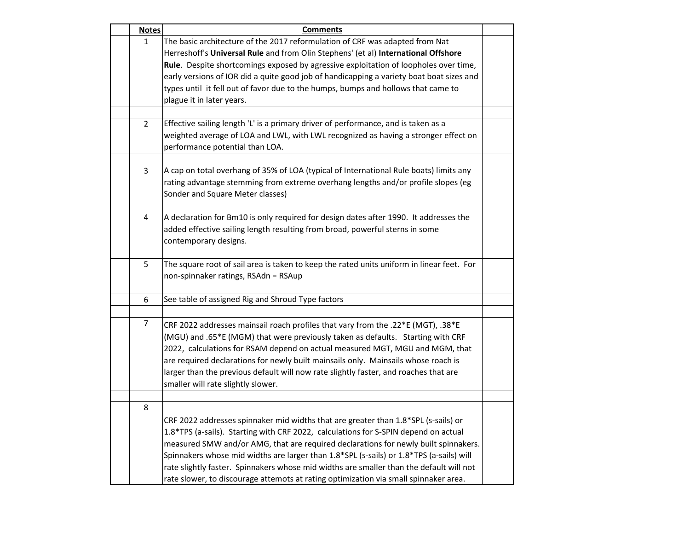| <b>Notes</b>   | <b>Comments</b>                                                                                                                                                    |  |
|----------------|--------------------------------------------------------------------------------------------------------------------------------------------------------------------|--|
| $\mathbf{1}$   | The basic architecture of the 2017 reformulation of CRF was adapted from Nat<br>Herreshoff's Universal Rule and from Olin Stephens' (et al) International Offshore |  |
|                | Rule. Despite shortcomings exposed by agressive exploitation of loopholes over time,                                                                               |  |
|                | early versions of IOR did a quite good job of handicapping a variety boat boat sizes and                                                                           |  |
|                | types until it fell out of favor due to the humps, bumps and hollows that came to                                                                                  |  |
|                | plague it in later years.                                                                                                                                          |  |
|                |                                                                                                                                                                    |  |
| $\mathbf{2}$   | Effective sailing length 'L' is a primary driver of performance, and is taken as a                                                                                 |  |
|                | weighted average of LOA and LWL, with LWL recognized as having a stronger effect on                                                                                |  |
|                | performance potential than LOA.                                                                                                                                    |  |
| 3              | A cap on total overhang of 35% of LOA (typical of International Rule boats) limits any                                                                             |  |
|                | rating advantage stemming from extreme overhang lengths and/or profile slopes (eg                                                                                  |  |
|                | Sonder and Square Meter classes)                                                                                                                                   |  |
|                |                                                                                                                                                                    |  |
| 4              | A declaration for Bm10 is only required for design dates after 1990. It addresses the                                                                              |  |
|                | added effective sailing length resulting from broad, powerful sterns in some                                                                                       |  |
|                | contemporary designs.                                                                                                                                              |  |
|                |                                                                                                                                                                    |  |
| 5              | The square root of sail area is taken to keep the rated units uniform in linear feet. For                                                                          |  |
|                | non-spinnaker ratings, RSAdn = RSAup                                                                                                                               |  |
| 6              | See table of assigned Rig and Shroud Type factors                                                                                                                  |  |
|                |                                                                                                                                                                    |  |
| $\overline{7}$ | CRF 2022 addresses mainsail roach profiles that vary from the .22*E (MGT), .38*E                                                                                   |  |
|                | (MGU) and .65*E (MGM) that were previously taken as defaults. Starting with CRF                                                                                    |  |
|                | 2022, calculations for RSAM depend on actual measured MGT, MGU and MGM, that                                                                                       |  |
|                | are required declarations for newly built mainsails only. Mainsails whose roach is                                                                                 |  |
|                | larger than the previous default will now rate slightly faster, and roaches that are                                                                               |  |
|                | smaller will rate slightly slower.                                                                                                                                 |  |
|                |                                                                                                                                                                    |  |
| 8              |                                                                                                                                                                    |  |
|                | CRF 2022 addresses spinnaker mid widths that are greater than 1.8*SPL (s-sails) or                                                                                 |  |
|                | 1.8*TPS (a-sails). Starting with CRF 2022, calculations for S-SPIN depend on actual                                                                                |  |
|                | measured SMW and/or AMG, that are required declarations for newly built spinnakers.                                                                                |  |
|                | Spinnakers whose mid widths are larger than 1.8*SPL (s-sails) or 1.8*TPS (a-sails) will                                                                            |  |
|                | rate slightly faster. Spinnakers whose mid widths are smaller than the default will not                                                                            |  |
|                | rate slower, to discourage attemots at rating optimization via small spinnaker area.                                                                               |  |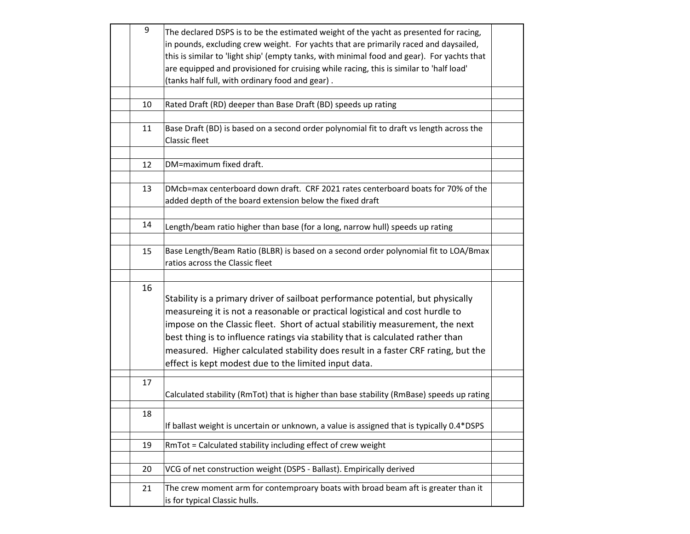| 9  | The declared DSPS is to be the estimated weight of the yacht as presented for racing,<br>in pounds, excluding crew weight. For yachts that are primarily raced and daysailed,<br>this is similar to 'light ship' (empty tanks, with minimal food and gear). For yachts that<br>are equipped and provisioned for cruising while racing, this is similar to 'half load'<br>(tanks half full, with ordinary food and gear).                                                         |  |
|----|----------------------------------------------------------------------------------------------------------------------------------------------------------------------------------------------------------------------------------------------------------------------------------------------------------------------------------------------------------------------------------------------------------------------------------------------------------------------------------|--|
|    |                                                                                                                                                                                                                                                                                                                                                                                                                                                                                  |  |
| 10 | Rated Draft (RD) deeper than Base Draft (BD) speeds up rating                                                                                                                                                                                                                                                                                                                                                                                                                    |  |
| 11 | Base Draft (BD) is based on a second order polynomial fit to draft vs length across the<br><b>Classic fleet</b>                                                                                                                                                                                                                                                                                                                                                                  |  |
| 12 | DM=maximum fixed draft.                                                                                                                                                                                                                                                                                                                                                                                                                                                          |  |
|    |                                                                                                                                                                                                                                                                                                                                                                                                                                                                                  |  |
| 13 | DMcb=max centerboard down draft. CRF 2021 rates centerboard boats for 70% of the<br>added depth of the board extension below the fixed draft                                                                                                                                                                                                                                                                                                                                     |  |
|    |                                                                                                                                                                                                                                                                                                                                                                                                                                                                                  |  |
| 14 | Length/beam ratio higher than base (for a long, narrow hull) speeds up rating                                                                                                                                                                                                                                                                                                                                                                                                    |  |
|    |                                                                                                                                                                                                                                                                                                                                                                                                                                                                                  |  |
| 15 | Base Length/Beam Ratio (BLBR) is based on a second order polynomial fit to LOA/Bmax<br>ratios across the Classic fleet                                                                                                                                                                                                                                                                                                                                                           |  |
|    |                                                                                                                                                                                                                                                                                                                                                                                                                                                                                  |  |
| 16 | Stability is a primary driver of sailboat performance potential, but physically<br>measureing it is not a reasonable or practical logistical and cost hurdle to<br>impose on the Classic fleet. Short of actual stabilitiy measurement, the next<br>best thing is to influence ratings via stability that is calculated rather than<br>measured. Higher calculated stability does result in a faster CRF rating, but the<br>effect is kept modest due to the limited input data. |  |
| 17 |                                                                                                                                                                                                                                                                                                                                                                                                                                                                                  |  |
|    | Calculated stability (RmTot) that is higher than base stability (RmBase) speeds up rating                                                                                                                                                                                                                                                                                                                                                                                        |  |
|    |                                                                                                                                                                                                                                                                                                                                                                                                                                                                                  |  |
| 18 | If ballast weight is uncertain or unknown, a value is assigned that is typically 0.4*DSPS                                                                                                                                                                                                                                                                                                                                                                                        |  |
| 19 | RmTot = Calculated stability including effect of crew weight                                                                                                                                                                                                                                                                                                                                                                                                                     |  |
|    |                                                                                                                                                                                                                                                                                                                                                                                                                                                                                  |  |
| 20 | VCG of net construction weight (DSPS - Ballast). Empirically derived                                                                                                                                                                                                                                                                                                                                                                                                             |  |
|    |                                                                                                                                                                                                                                                                                                                                                                                                                                                                                  |  |
| 21 | The crew moment arm for contemproary boats with broad beam aft is greater than it<br>is for typical Classic hulls.                                                                                                                                                                                                                                                                                                                                                               |  |